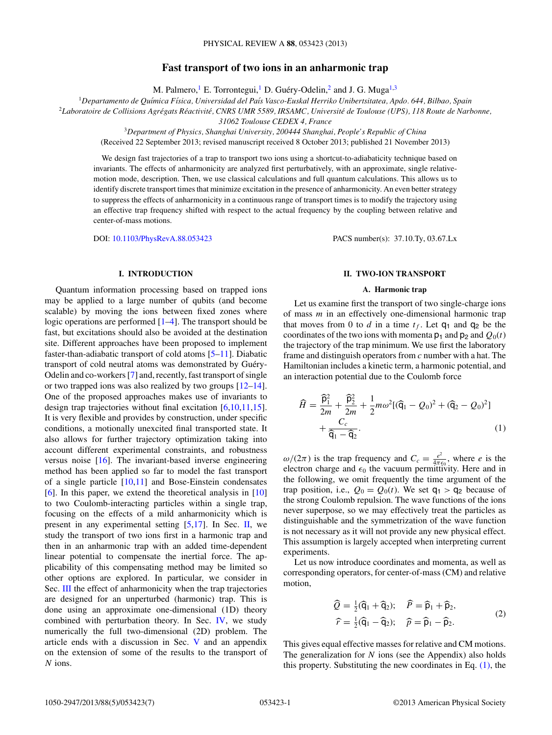# **Fast transport of two ions in an anharmonic trap**

M. Palmero,  $^1$  E. Torrontegui,  $^1$  D. Guéry-Odelin,  $^2$  and J. G. Muga<sup>1,3</sup>

<sup>1</sup>*Departamento de Qu´ımica F´ısica, Universidad del Pa´ıs Vasco-Euskal Herriko Unibertsitatea, Apdo. 644, Bilbao, Spain*

<sup>2</sup>*Laboratoire de Collisions Agregats R ´ eactivit ´ e, CNRS UMR 5589, IRSAMC, Universit ´ e de Toulouse (UPS), 118 Route de Narbonne, ´*

*31062 Toulouse CEDEX 4, France*

<sup>3</sup>*Department of Physics, Shanghai University, 200444 Shanghai, People's Republic of China*

(Received 22 September 2013; revised manuscript received 8 October 2013; published 21 November 2013)

We design fast trajectories of a trap to transport two ions using a shortcut-to-adiabaticity technique based on invariants. The effects of anharmonicity are analyzed first perturbatively, with an approximate, single relativemotion mode, description. Then, we use classical calculations and full quantum calculations. This allows us to identify discrete transport times that minimize excitation in the presence of anharmonicity. An even better strategy to suppress the effects of anharmonicity in a continuous range of transport times is to modify the trajectory using an effective trap frequency shifted with respect to the actual frequency by the coupling between relative and center-of-mass motions.

DOI: [10.1103/PhysRevA.88.053423](http://dx.doi.org/10.1103/PhysRevA.88.053423) PACS number(s): 37.10.Ty, 03.67.Lx

# **I. INTRODUCTION**

Quantum information processing based on trapped ions may be applied to a large number of qubits (and become scalable) by moving the ions between fixed zones where logic operations are performed [\[1–4\]](#page-5-0). The transport should be fast, but excitations should also be avoided at the destination site. Different approaches have been proposed to implement faster-than-adiabatic transport of cold atoms [\[5–11\]](#page-5-0). Diabatic transport of cold neutral atoms was demonstrated by Guéry-Odelin and co-workers [\[7\]](#page-5-0) and, recently, fast transport of single or two trapped ions was also realized by two groups [\[12–](#page-5-0)[14\]](#page-6-0). One of the proposed approaches makes use of invariants to design trap trajectories without final excitation [\[6,10,11,](#page-5-0)[15\]](#page-6-0). It is very flexible and provides by construction, under specific conditions, a motionally unexcited final transported state. It also allows for further trajectory optimization taking into account different experimental constraints, and robustness versus noise [\[16\]](#page-6-0). The invariant-based inverse engineering method has been applied so far to model the fast transport of a single particle  $[10,11]$  and Bose-Einstein condensates [\[6\]](#page-5-0). In this paper, we extend the theoretical analysis in [\[10\]](#page-5-0) to two Coulomb-interacting particles within a single trap, focusing on the effects of a mild anharmonicity which is present in any experimental setting [\[5](#page-5-0)[,17\]](#page-6-0). In Sec. II, we study the transport of two ions first in a harmonic trap and then in an anharmonic trap with an added time-dependent linear potential to compensate the inertial force. The applicability of this compensating method may be limited so other options are explored. In particular, we consider in Sec. [III](#page-2-0) the effect of anharmonicity when the trap trajectories are designed for an unperturbed (harmonic) trap. This is done using an approximate one-dimensional (1D) theory combined with perturbation theory. In Sec. [IV,](#page-4-0) we study numerically the full two-dimensional (2D) problem. The article ends with a discussion in Sec. [V](#page-4-0) and an appendix on the extension of some of the results to the transport of N ions.

#### **II. TWO-ION TRANSPORT**

### **A. Harmonic trap**

Let us examine first the transport of two single-charge ions of mass  $m$  in an effectively one-dimensional harmonic trap that moves from 0 to d in a time  $t_f$ . Let  $q_1$  and  $q_2$  be the coordinates of the two ions with momenta  $p_1$  and  $p_2$  and  $Q_0(t)$ the trajectory of the trap minimum. We use first the laboratory frame and distinguish operators from c number with a hat. The Hamiltonian includes a kinetic term, a harmonic potential, and an interaction potential due to the Coulomb force

$$
\widehat{H} = \frac{\widehat{p}_1^2}{2m} + \frac{\widehat{p}_2^2}{2m} + \frac{1}{2}m\omega^2[(\widehat{q}_1 - Q_0)^2 + (\widehat{q}_2 - Q_0)^2] + \frac{C_c}{\widehat{q}_1 - \widehat{q}_2}.
$$
\n(1)

ω/(2π) is the trap frequency and  $C_c = \frac{e^2}{4\pi\epsilon_0}$ , where *e* is the electron charge and  $\epsilon_0$  the vacuum permittivity. Here and in the following, we omit frequently the time argument of the trap position, i.e.,  $Q_0 = Q_0(t)$ . We set  $q_1 > q_2$  because of the strong Coulomb repulsion. The wave functions of the ions never superpose, so we may effectively treat the particles as distinguishable and the symmetrization of the wave function is not necessary as it will not provide any new physical effect. This assumption is largely accepted when interpreting current experiments.

Let us now introduce coordinates and momenta, as well as corresponding operators, for center-of-mass (CM) and relative motion,

$$
\widehat{Q} = \frac{1}{2}(\widehat{\mathsf{q}}_1 + \widehat{\mathsf{q}}_2); \quad \widehat{P} = \widehat{\mathsf{p}}_1 + \widehat{\mathsf{p}}_2, \n\widehat{r} = \frac{1}{2}(\widehat{\mathsf{q}}_1 - \widehat{\mathsf{q}}_2); \quad \widehat{p} = \widehat{\mathsf{p}}_1 - \widehat{\mathsf{p}}_2.
$$
\n(2)

This gives equal effective masses for relative and CM motions. The generalization for  $N$  ions (see the Appendix) also holds this property. Substituting the new coordinates in Eq.  $(1)$ , the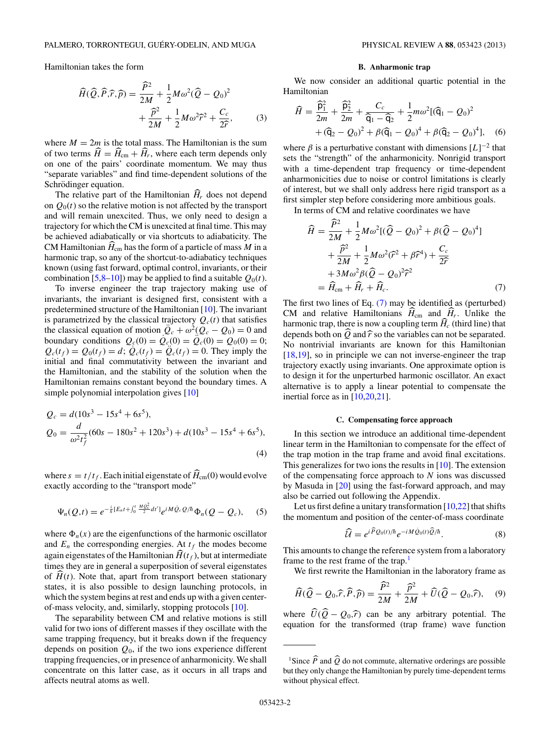<span id="page-1-0"></span>Hamiltonian takes the form

$$
\widehat{H}(\widehat{Q}, \widehat{P}, \widehat{r}, \widehat{p}) = \frac{\widehat{P}^2}{2M} + \frac{1}{2} M \omega^2 (\widehat{Q} - Q_0)^2 + \frac{\widehat{P}^2}{2M} + \frac{1}{2} M \omega^2 \widehat{r}^2 + \frac{C_c}{2\widehat{r}},
$$
\n(3)

where  $M = 2m$  is the total mass. The Hamiltonian is the sum of two terms  $\hat{H} = \hat{H}_{cm} + \hat{H}_r$ , where each term depends only on one of the pairs' coordinate momentum. We may thus "separate variables" and find time-dependent solutions of the Schrödinger equation.

The relative part of the Hamiltonian  $\widehat{H}_r$  does not depend on  $Q_0(t)$  so the relative motion is not affected by the transport and will remain unexcited. Thus, we only need to design a trajectory for which the CM is unexcited at final time. This may be achieved adiabatically or via shortcuts to adiabaticity. The CM Hamiltonian  $H_{\rm cm}$  has the form of a particle of mass M in a harmonic trap, so any of the shortcut-to-adiabaticy techniques known (using fast forward, optimal control, invariants, or their combination [\[5,8–10\]](#page-5-0)) may be applied to find a suitable  $Q_0(t)$ .

To inverse engineer the trap trajectory making use of invariants, the invariant is designed first, consistent with a predetermined structure of the Hamiltonian [\[10\]](#page-5-0). The invariant is parametrized by the classical trajectory  $Q_c(t)$  that satisfies the classical equation of motion  $\ddot{Q}_c + \omega^2(Q_c - Q_0) = 0$  and boundary conditions  $Q_c(0) = Q_c(0) = Q_c(0) = Q_0(0) = 0;$  $Q_c(t_f) = Q_0(t_f) = d$ ;  $\dot{Q}_c(t_f) = \ddot{Q}_c(t_f) = 0$ . They imply the initial and final commutativity between the invariant and the Hamiltonian, and the stability of the solution when the Hamiltonian remains constant beyond the boundary times. A simple polynomial interpolation gives [\[10\]](#page-5-0)

$$
Q_c = d(10s^3 - 15s^4 + 6s^5),
$$
  
\n
$$
Q_0 = \frac{d}{\omega^2 t_f^2} (60s - 180s^2 + 120s^3) + d(10s^3 - 15s^4 + 6s^5),
$$
\n(4)

where  $s = t/t_f$ . Each initial eigenstate of  $\widehat{H}_{cm}(0)$  would evolve exactly according to the "transport mode"

$$
\Psi_n(Q,t) = e^{-\frac{i}{\hbar}[E_n t + \int_0^t \frac{M \hat{Q}_c^2}{2} dt']} e^{iM \hat{Q}_c Q/\hbar} \Phi_n(Q - Q_c), \quad (5)
$$

where  $\Phi_n(x)$  are the eigenfunctions of the harmonic oscillator and  $E_n$  the corresponding energies. At  $t_f$  the modes become again eigenstates of the Hamiltonian  $\widehat{H}(t_f)$ , but at intermediate times they are in general a superposition of several eigenstates of  $\hat{H}(t)$ . Note that, apart from transport between stationary states, it is also possible to design launching protocols, in which the system begins at rest and ends up with a given centerof-mass velocity, and, similarly, stopping protocols [\[10\]](#page-5-0).

The separability between CM and relative motions is still valid for two ions of different masses if they oscillate with the same trapping frequency, but it breaks down if the frequency depends on position  $Q_0$ , if the two ions experience different trapping frequencies, or in presence of anharmonicity. We shall concentrate on this latter case, as it occurs in all traps and affects neutral atoms as well.

#### **B. Anharmonic trap**

We now consider an additional quartic potential in the Hamiltonian

$$
\widehat{H} = \frac{\widehat{\mathsf{p}}_1^2}{2m} + \frac{\widehat{\mathsf{p}}_2^2}{2m} + \frac{C_c}{\widehat{\mathsf{q}}_1 - \widehat{\mathsf{q}}_2} + \frac{1}{2}m\omega^2[(\widehat{\mathsf{q}}_1 - Q_0)^2 + (\widehat{\mathsf{q}}_2 - Q_0)^2 + \beta(\widehat{\mathsf{q}}_1 - Q_0)^4 + \beta(\widehat{\mathsf{q}}_2 - Q_0)^4], \quad (6)
$$

where  $\beta$  is a perturbative constant with dimensions  $[L]^{-2}$  that sets the "strength" of the anharmonicity. Nonrigid transport with a time-dependent trap frequency or time-dependent anharmonicities due to noise or control limitations is clearly of interest, but we shall only address here rigid transport as a first simpler step before considering more ambitious goals.

In terms of CM and relative coordinates we have

$$
\widehat{H} = \frac{\widehat{P}^2}{2M} + \frac{1}{2}M\omega^2 [(\widehat{Q} - Q_0)^2 + \beta(\widehat{Q} - Q_0)^4] \n+ \frac{\widehat{P}^2}{2M} + \frac{1}{2}M\omega^2(\widehat{r}^2 + \beta\widehat{r}^4) + \frac{C_c}{2\widehat{r}} \n+ 3M\omega^2 \beta(\widehat{Q} - Q_0)^2 \widehat{r}^2 \n= \widehat{H}_{cm} + \widehat{H}_r + \widehat{H}_c.
$$
\n(7)

The first two lines of Eq. (7) may be identified as (perturbed) CM and relative Hamiltonians  $H_{cm}$  and  $H_r$ . Unlike the harmonic trap, there is now a coupling term  $\widehat{H}_c$  (third line) that depends both on  $\widehat{Q}$  and  $\widehat{r}$  so the variables can not be separated. No nontrivial invariants are known for this Hamiltonian [\[18,19\]](#page-6-0), so in principle we can not inverse-engineer the trap trajectory exactly using invariants. One approximate option is to design it for the unperturbed harmonic oscillator. An exact alternative is to apply a linear potential to compensate the inertial force as in [\[10](#page-5-0)[,20,21\]](#page-6-0).

### **C. Compensating force approach**

In this section we introduce an additional time-dependent linear term in the Hamiltonian to compensate for the effect of the trap motion in the trap frame and avoid final excitations. This generalizes for two ions the results in [\[10\]](#page-5-0). The extension of the compensating force approach to  $N$  ions was discussed by Masuda in [\[20\]](#page-6-0) using the fast-forward approach, and may also be carried out following the Appendix.

Let us first define a unitary transformation  $[10,22]$  $[10,22]$  that shifts the momentum and position of the center-of-mass coordinate

$$
\widehat{\mathcal{U}} = e^{i\widehat{P}Q_0(t)/\hbar}e^{-iM\widehat{Q}_0(t)\widehat{Q}/\hbar}.\tag{8}
$$

This amounts to change the reference system from a laboratory frame to the rest frame of the trap.<sup>1</sup>

We first rewrite the Hamiltonian in the laboratory frame as

$$
\widehat{H}(\widehat{Q} - Q_0, \widehat{r}, \widehat{P}, \widehat{p}) = \frac{\widehat{P}^2}{2M} + \frac{\widehat{p}^2}{2M} + \widehat{U}(\widehat{Q} - Q_0, \widehat{r}), \quad (9)
$$

where  $U(Q - Q_0, \hat{r})$  can be any arbitrary potential. The equation for the transformed (trap frame) wave function

<sup>&</sup>lt;sup>1</sup>Since  $\widehat{P}$  and  $\widehat{Q}$  do not commute, alternative orderings are possible but they only change the Hamiltonian by purely time-dependent terms without physical effect.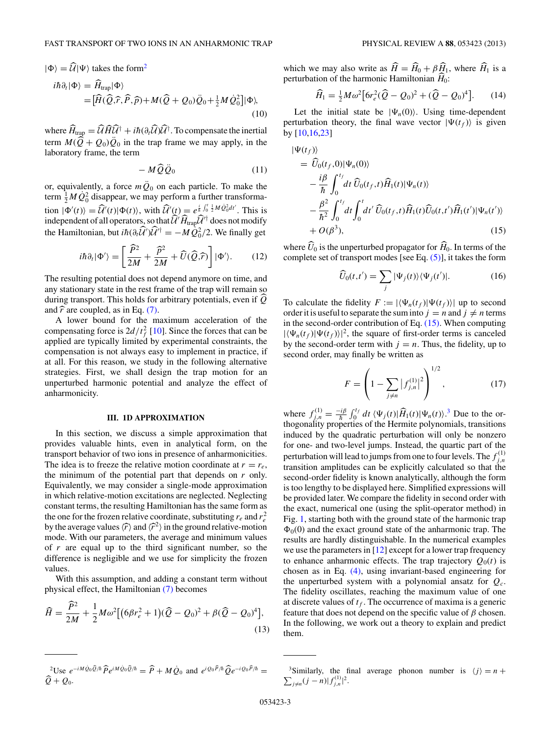<span id="page-2-0"></span>
$$
\begin{aligned} |\Phi\rangle &= \widehat{\mathcal{U}}|\Psi\rangle \text{ takes the form}^2 \\ i\hbar \partial_t |\Phi\rangle &= \widehat{H}_{\text{trap}} |\Phi\rangle \\ &= [\widehat{H}(\widehat{\mathcal{Q}}, \widehat{r}, \widehat{P}, \widehat{p}) + M(\widehat{Q} + Q_0)\widehat{Q}_0 + \frac{1}{2}M\widehat{Q}_0^2] |\Phi\rangle, \end{aligned} \tag{10}
$$

where  $\ddot{H}_{\text{trap}} = \dot{\mathcal{U}} \dot{H} \dot{\mathcal{U}}^{\dagger} + i\hbar (\partial_t \dot{\mathcal{U}}) \dot{\mathcal{U}}^{\dagger}$ . To compensate the inertial term  $M(\hat{Q} + Q_0)\hat{Q}_0$  in the trap frame we may apply, in the laboratory frame, the term

$$
- M \widehat{Q} \ddot{Q}_0 \tag{11}
$$

or, equivalently, a force  $m\ddot{Q}_0$  on each particle. To make the term  $\frac{1}{2}M\dot{Q}_0^2$  disappear, we may perform a further transformation  $|\Phi'(t)\rangle = \widehat{\mathcal{U}}'(t)|\Phi(t)\rangle$ , with  $\widehat{\mathcal{U}}'(t) = e^{\frac{i}{\hbar}\int_0^t \frac{1}{2}M\hat{Q}_0^2 dt'}$ . This is independent of all operators, so that  $\mathcal{U}'\hat{H}_{\text{trap}}\mathcal{U}'^{\dagger}$  does not modify the Hamiltonian, but  $i\hbar (\partial_t \widehat{\mathcal{U}}') \widehat{\mathcal{U}}'^\dagger = -M \dot{Q}_0^2/2$ . We finally get

$$
i\hbar \partial_t |\Phi'\rangle = \left[ \frac{\widehat{P}^2}{2M} + \frac{\widehat{P}^2}{2M} + \widehat{U}(\widehat{Q}, \widehat{r}) \right] |\Phi'\rangle. \tag{12}
$$

The resulting potential does not depend anymore on time, and any stationary state in the rest frame of the trap will remain so during transport. This holds for arbitrary potentials, even if  $\widehat{Q}$ and  $\hat{r}$  are coupled, as in Eq. [\(7\).](#page-1-0)

A lower bound for the maximum acceleration of the compensating force is  $2d/t_f^2$  [\[10\]](#page-5-0). Since the forces that can be applied are typically limited by experimental constraints, the compensation is not always easy to implement in practice, if at all. For this reason, we study in the following alternative strategies. First, we shall design the trap motion for an unperturbed harmonic potential and analyze the effect of anharmonicity.

#### **III. 1D APPROXIMATION**

In this section, we discuss a simple approximation that provides valuable hints, even in analytical form, on the transport behavior of two ions in presence of anharmonicities. The idea is to freeze the relative motion coordinate at  $r = r_e$ , the minimum of the potential part that depends on  $r$  only. Equivalently, we may consider a single-mode approximation in which relative-motion excitations are neglected. Neglecting constant terms, the resulting Hamiltonian has the same form as the one for the frozen relative coordinate, substituting  $r_e$  and  $r_e^2$ by the average values  $\langle \hat{r} \rangle$  and  $\langle \hat{r}^2 \rangle$  in the ground relative-motion mode. With our parameters, the average and minimum values of  $r$  are equal up to the third significant number, so the difference is negligible and we use for simplicity the frozen values.

With this assumption, and adding a constant term without physical effect, the Hamiltonian [\(7\)](#page-1-0) becomes

$$
\widehat{H} = \frac{\widehat{P}^2}{2M} + \frac{1}{2}M\omega^2 \left[ (6\beta r_e^2 + 1)(\widehat{Q} - Q_0)^2 + \beta(\widehat{Q} - Q_0)^4 \right],\tag{13}
$$

which we may also write as  $\widehat{H} = \widehat{H}_0 + \beta \widehat{H}_1$ , where  $\widehat{H}_1$  is a perturbation of the harmonic Hamiltonian  $\widehat{H}_0$ :

$$
\widehat{H}_1 = \frac{1}{2} M \omega^2 \big[ 6r_e^2 (\widehat{Q} - Q_0)^2 + (\widehat{Q} - Q_0)^4 \big].
$$
 (14)

Let the initial state be  $|\Psi_n(0)\rangle$ . Using time-dependent perturbation theory, the final wave vector  $|\Psi(t_f)\rangle$  is given by [\[10](#page-5-0)[,16,23\]](#page-6-0)

$$
\begin{split} |\Psi(t_f)\rangle\\ &= \widehat{U}_0(t_f,0)|\Psi_n(0)\rangle\\ &- \frac{i\beta}{\hbar} \int_0^{t_f} dt \, \widehat{U}_0(t_f,t) \widehat{H}_1(t)|\Psi_n(t)\rangle\\ &- \frac{\beta^2}{\hbar^2} \int_0^{t_f} dt \int_0^t dt' \, \widehat{U}_0(t_f,t) \widehat{H}_1(t) \widehat{U}_0(t,t') \widehat{H}_1(t')|\Psi_n(t')\rangle\\ &+ O(\beta^3), \end{split} \tag{15}
$$

where  $U_0$  is the unperturbed propagator for  $H_0$ . In terms of the complete set of transport modes [see Eq.  $(5)$ ], it takes the form

$$
\widehat{U}_0(t,t') = \sum_j |\Psi_j(t)\rangle\langle\Psi_j(t')|.
$$
\n(16)

To calculate the fidelity  $F := |\langle \Psi_n(t_f)| \Psi(t_f) \rangle|$  up to second order it is useful to separate the sum into  $j = n$  and  $j \neq n$  terms in the second-order contribution of Eq.  $(15)$ . When computing  $|\langle \Psi_n(t_f)|\Psi(t_f)\rangle|^2$ , the square of first-order terms is canceled by the second-order term with  $j = n$ . Thus, the fidelity, up to second order, may finally be written as

$$
F = \left(1 - \sum_{j \neq n} |f_{j,n}^{(1)}|^2\right)^{1/2},\tag{17}
$$

where  $f_{j,n}^{(1)} = \frac{-i\beta}{\hbar} \int_0^{t_f} dt \, \langle \Psi_j(t) | \hat{H}_1(t) | \Psi_n(t) \rangle^3$ . Due to the orthogonality properties of the Hermite polynomials, transitions induced by the quadratic perturbation will only be nonzero for one- and two-level jumps. Instead, the quartic part of the perturbation will lead to jumps from one to four levels. The  $f_{j,n}^{(1)}$ transition amplitudes can be explicitly calculated so that the second-order fidelity is known analytically, although the form is too lengthy to be displayed here. Simplified expressions will be provided later. We compare the fidelity in second order with the exact, numerical one (using the split-operator method) in Fig. [1,](#page-3-0) starting both with the ground state of the harmonic trap  $\Phi_0(0)$  and the exact ground state of the anharmonic trap. The results are hardly distinguishable. In the numerical examples we use the parameters in [\[12\]](#page-5-0) except for a lower trap frequency to enhance anharmonic effects. The trap trajectory  $Q_0(t)$  is chosen as in Eq. [\(4\),](#page-1-0) using invariant-based engineering for the unperturbed system with a polynomial ansatz for  $Q_c$ . The fidelity oscillates, reaching the maximum value of one at discrete values of  $t_f$ . The occurrence of maxima is a generic feature that does not depend on the specific value of  $\beta$  chosen. In the following, we work out a theory to explain and predict them.

<sup>3</sup>Similarly, the final average phonon number is  $\langle j \rangle = n +$  $\sum_{j\neq n}(j-n)|f_{j,n}^{(1)}|^2.$ 

 $2^2$ Use  $e^{-iM\dot{Q}_0\hat{Q}/\hbar}\hat{P}e^{iM\dot{Q}_0\hat{Q}/\hbar} = \hat{P} + M\dot{Q}_0$  and  $e^{iQ_0\hat{P}/\hbar}\hat{Q}e^{-iQ_0\hat{P}/\hbar} =$  $\widehat{Q} + Q_0$ .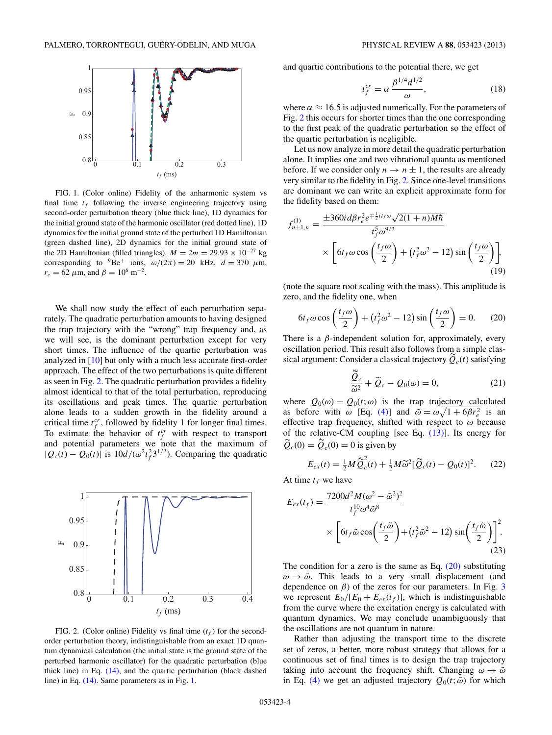<span id="page-3-0"></span>

FIG. 1. (Color online) Fidelity of the anharmonic system vs final time  $t_f$  following the inverse engineering trajectory using second-order perturbation theory (blue thick line), 1D dynamics for the initial ground state of the harmonic oscillator (red dotted line), 1D dynamics for the initial ground state of the perturbed 1D Hamiltonian (green dashed line), 2D dynamics for the initial ground state of the 2D Hamiltonian (filled triangles).  $M = 2m = 29.93 \times 10^{-27}$  kg corresponding to  $^{9}$ Be<sup>+</sup> ions,  $\omega/(2\pi) = 20$  kHz,  $d = 370$   $\mu$ m,  $r_e = 62 \ \mu \text{m}$ , and  $\beta = 10^6 \text{ m}^{-2}$ .

We shall now study the effect of each perturbation separately. The quadratic perturbation amounts to having designed the trap trajectory with the "wrong" trap frequency and, as we will see, is the dominant perturbation except for very short times. The influence of the quartic perturbation was analyzed in [\[10\]](#page-5-0) but only with a much less accurate first-order approach. The effect of the two perturbations is quite different as seen in Fig. 2. The quadratic perturbation provides a fidelity almost identical to that of the total perturbation, reproducing its oscillations and peak times. The quartic perturbation alone leads to a sudden growth in the fidelity around a critical time  $t_f^{cr}$ , followed by fidelity 1 for longer final times. To estimate the behavior of  $t_f^{cr}$  with respect to transport and potential parameters we note that the maximum of  $|Q_c(t) - Q_0(t)|$  is  $10d/(\omega^2 t_f^2 3^{1/2})$ . Comparing the quadratic



FIG. 2. (Color online) Fidelity vs final time  $(t_f)$  for the secondorder perturbation theory, indistinguishable from an exact 1D quantum dynamical calculation (the initial state is the ground state of the perturbed harmonic oscillator) for the quadratic perturbation (blue thick line) in Eq. [\(14\),](#page-2-0) and the quartic perturbation (black dashed line) in Eq. [\(14\).](#page-2-0) Same parameters as in Fig. 1.

and quartic contributions to the potential there, we get

$$
t_f^{cr} = \alpha \frac{\beta^{1/4} d^{1/2}}{\omega},\tag{18}
$$

where  $\alpha \approx 16.5$  is adjusted numerically. For the parameters of Fig. 2 this occurs for shorter times than the one corresponding to the first peak of the quadratic perturbation so the effect of the quartic perturbation is negligible.

Let us now analyze in more detail the quadratic perturbation alone. It implies one and two vibrational quanta as mentioned before. If we consider only  $n \to n \pm 1$ , the results are already very similar to the fidelity in Fig. 2. Since one-level transitions are dominant we can write an explicit approximate form for the fidelity based on them:

$$
f_{n\pm 1,n}^{(1)} = \frac{\pm 360i d\beta r_e^2 e^{\mp \frac{1}{2}it_f\omega} \sqrt{2(1+n)M\hbar}}{t_f^5 \omega^{9/2}} \times \left[6t_f\omega \cos\left(\frac{t_f\omega}{2}\right) + \left(t_f^2\omega^2 - 12\right)\sin\left(\frac{t_f\omega}{2}\right)\right],\tag{19}
$$

(note the square root scaling with the mass). This amplitude is zero, and the fidelity one, when

$$
6t_f\omega\cos\left(\frac{t_f\omega}{2}\right) + \left(t_f^2\omega^2 - 12\right)\sin\left(\frac{t_f\omega}{2}\right) = 0. \qquad (20)
$$

There is a  $\beta$ -independent solution for, approximately, every oscillation period. This result also follows from a simple classical argument: Consider a classical trajectory  $\ddot{Q}_c(t)$  satisfying

$$
\frac{\tilde{Q}_c}{\tilde{\omega}^2} + \tilde{Q}_c - Q_0(\omega) = 0,
$$
\n(21)

where  $Q_0(\omega) = Q_0(t; \omega)$  is the trap trajectory calculated as before with  $\omega$  [Eq. [\(4\)\]](#page-1-0) and  $\tilde{\omega} = \omega \sqrt{1 + 6\beta r_e^2}$  is an effective trap frequency, shifted with respect to  $\omega$  because of the relative-CM coupling [see Eq. [\(13\)\]](#page-2-0). Its energy for  $\widetilde{Q}_c(0) = \widetilde{Q}_c(0) = 0$  is given by

$$
E_{ex}(t) = \frac{1}{2}M\tilde{Q}_c^2(t) + \frac{1}{2}M\tilde{\omega}^2[\tilde{Q}_c(t) - Q_0(t)]^2.
$$
 (22)

At time  $t_f$  we have

$$
E_{ex}(t_f) = \frac{7200d^2M(\omega^2 - \tilde{\omega}^2)^2}{t_f^{10}\omega^4\tilde{\omega}^8}
$$

$$
\times \left[6t_f\tilde{\omega}\cos\left(\frac{t_f\tilde{\omega}}{2}\right) + (t_f^2\tilde{\omega}^2 - 12)\sin\left(\frac{t_f\tilde{\omega}}{2}\right)\right]^2.
$$
(23)

The condition for a zero is the same as Eq.  $(20)$  substituting  $\omega \rightarrow \tilde{\omega}$ . This leads to a very small displacement (and dependence on  $\beta$ ) of the zeros for our parameters. In Fig. [3](#page-4-0) we represent  $E_0/[E_0 + E_{ex}(t_f)]$ , which is indistinguishable from the curve where the excitation energy is calculated with quantum dynamics. We may conclude unambiguously that the oscillations are not quantum in nature.

Rather than adjusting the transport time to the discrete set of zeros, a better, more robust strategy that allows for a continuous set of final times is to design the trap trajectory taking into account the frequency shift. Changing  $\omega \rightarrow \tilde{\omega}$ in Eq. [\(4\)](#page-1-0) we get an adjusted trajectory  $Q_0(t; \tilde{\omega})$  for which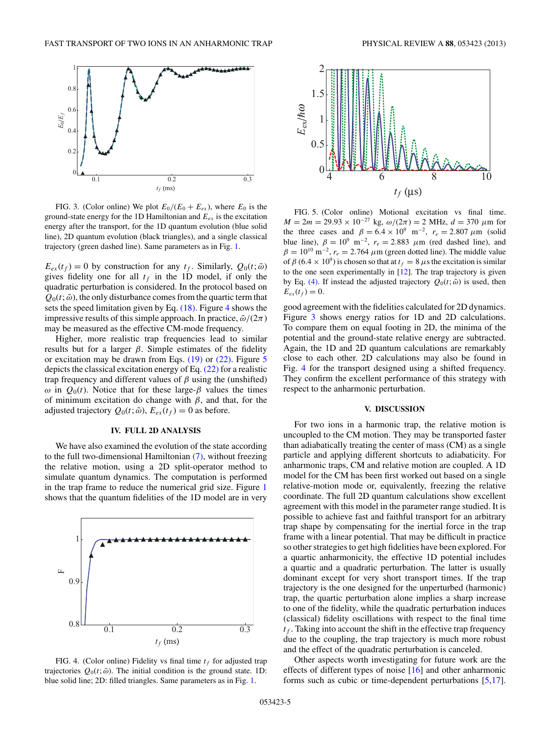<span id="page-4-0"></span>

FIG. 3. (Color online) We plot  $E_0/(E_0 + E_{ex})$ , where  $E_0$  is the ground-state energy for the 1D Hamiltonian and  $E_{ex}$  is the excitation energy after the transport, for the 1D quantum evolution (blue solid line), 2D quantum evolution (black triangles), and a single classical trajectory (green dashed line). Same parameters as in Fig. [1.](#page-3-0)

 $E_{ex}(t_f) = 0$  by construction for any  $t_f$ . Similarly,  $Q_0(t; \tilde{\omega})$ gives fidelity one for all  $t_f$  in the 1D model, if only the quadratic perturbation is considered. In the protocol based on  $Q_0(t; \tilde{\omega})$ , the only disturbance comes from the quartic term that sets the speed limitation given by Eq.  $(18)$ . Figure 4 shows the impressive results of this simple approach. In practice,  $\tilde{\omega}/(2\pi)$ may be measured as the effective CM-mode frequency.

Higher, more realistic trap frequencies lead to similar results but for a larger  $\beta$ . Simple estimates of the fidelity or excitation may be drawn from Eqs. [\(19\)](#page-3-0) or [\(22\).](#page-3-0) Figure 5 depicts the classical excitation energy of Eq.  $(22)$  for a realistic trap frequency and different values of  $\beta$  using the (unshifted)  $ω$  in  $Q_0(t)$ . Notice that for these large-β values the times of minimum excitation do change with  $\beta$ , and that, for the adjusted trajectory  $Q_0(t; \tilde{\omega})$ ,  $E_{ex}(t_f) = 0$  as before.

#### **IV. FULL 2D ANALYSIS**

We have also examined the evolution of the state according to the full two-dimensional Hamiltonian [\(7\),](#page-1-0) without freezing the relative motion, using a 2D split-operator method to simulate quantum dynamics. The computation is performed in the trap frame to reduce the numerical grid size. Figure [1](#page-3-0) shows that the quantum fidelities of the 1D model are in very



FIG. 4. (Color online) Fidelity vs final time  $t_f$  for adjusted trap trajectories  $Q_0(t; \tilde{\omega})$ . The initial condition is the ground state. 1D: blue solid line; 2D: filled triangles. Same parameters as in Fig. [1.](#page-3-0)



FIG. 5. (Color online) Motional excitation vs final time.  $M = 2m = 29.93 \times 10^{-27}$  kg,  $\omega/(2\pi) = 2$  MHz,  $d = 370 \mu$ m for the three cases and  $\beta = 6.4 \times 10^9$  m<sup>-2</sup>,  $r_e = 2.807 \mu$ m (solid blue line),  $\beta = 10^9$  m<sup>-2</sup>,  $r_e = 2.883$   $\mu$ m (red dashed line), and  $\beta = 10^{10} \text{ m}^{-2}$ ,  $r_e = 2.764 \mu \text{m}$  (green dotted line). The middle value of  $\beta$  (6.4  $\times$  10<sup>9</sup>) is chosen so that at  $t_f = 8 \mu s$  the excitation is similar to the one seen experimentally in  $[12]$ . The trap trajectory is given by Eq. [\(4\).](#page-1-0) If instead the adjusted trajectory  $Q_0(t; \tilde{\omega})$  is used, then  $E_{ex}(t_f) = 0.$ 

good agreement with the fidelities calculated for 2D dynamics. Figure 3 shows energy ratios for 1D and 2D calculations. To compare them on equal footing in 2D, the minima of the potential and the ground-state relative energy are subtracted. Again, the 1D and 2D quantum calculations are remarkably close to each other. 2D calculations may also be found in Fig. 4 for the transport designed using a shifted frequency. They confirm the excellent performance of this strategy with respect to the anharmonic perturbation.

### **V. DISCUSSION**

For two ions in a harmonic trap, the relative motion is uncoupled to the CM motion. They may be transported faster than adiabatically treating the center of mass (CM) as a single particle and applying different shortcuts to adiabaticity. For anharmonic traps, CM and relative motion are coupled. A 1D model for the CM has been first worked out based on a single relative-motion mode or, equivalently, freezing the relative coordinate. The full 2D quantum calculations show excellent agreement with this model in the parameter range studied. It is possible to achieve fast and faithful transport for an arbitrary trap shape by compensating for the inertial force in the trap frame with a linear potential. That may be difficult in practice so other strategies to get high fidelities have been explored. For a quartic anharmonicity, the effective 1D potential includes a quartic and a quadratic perturbation. The latter is usually dominant except for very short transport times. If the trap trajectory is the one designed for the unperturbed (harmonic) trap, the quartic perturbation alone implies a sharp increase to one of the fidelity, while the quadratic perturbation induces (classical) fidelity oscillations with respect to the final time  $t_f$ . Taking into account the shift in the effective trap frequency due to the coupling, the trap trajectory is much more robust and the effect of the quadratic perturbation is canceled.

Other aspects worth investigating for future work are the effects of different types of noise [\[16\]](#page-6-0) and other anharmonic forms such as cubic or time-dependent perturbations [\[5,](#page-5-0)[17\]](#page-6-0).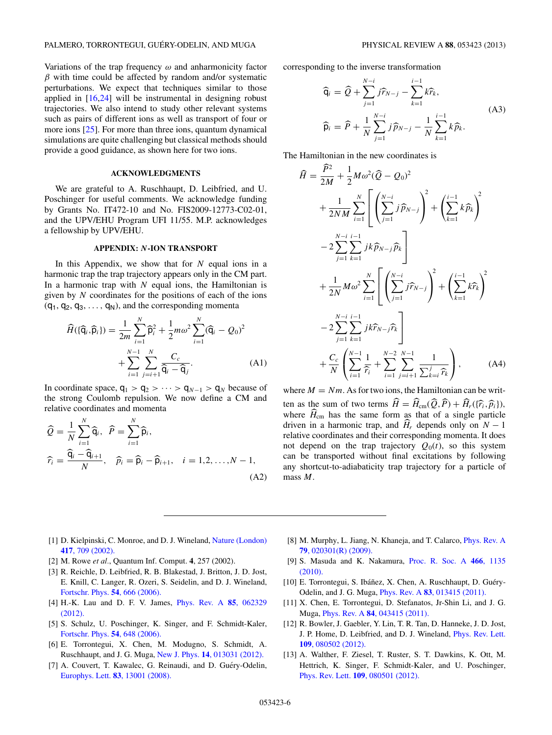<span id="page-5-0"></span>Variations of the trap frequency  $\omega$  and anharmonicity factor  $\beta$  with time could be affected by random and/or systematic perturbations. We expect that techniques similar to those applied in [\[16,24\]](#page-6-0) will be instrumental in designing robust trajectories. We also intend to study other relevant systems such as pairs of different ions as well as transport of four or more ions [\[25\]](#page-6-0). For more than three ions, quantum dynamical simulations are quite challenging but classical methods should provide a good guidance, as shown here for two ions.

# **ACKNOWLEDGMENTS**

We are grateful to A. Ruschhaupt, D. Leibfried, and U. Poschinger for useful comments. We acknowledge funding by Grants No. IT472-10 and No. FIS2009-12773-C02-01, and the UPV/EHU Program UFI 11/55. M.P. acknowledges a fellowship by UPV/EHU.

### **APPENDIX:** *N***-ION TRANSPORT**

In this Appendix, we show that for  $N$  equal ions in a harmonic trap the trap trajectory appears only in the CM part. In a harmonic trap with  $N$  equal ions, the Hamiltonian is given by  $N$  coordinates for the positions of each of the ions  $(q_1, q_2, q_3, \ldots, q_N)$ , and the corresponding momenta

$$
\widehat{H}(\{\widehat{\mathbf{q}}_i,\widehat{\mathbf{p}}_i\}) = \frac{1}{2m} \sum_{i=1}^N \widehat{\mathbf{p}}_i^2 + \frac{1}{2} m \omega^2 \sum_{i=1}^N (\widehat{\mathbf{q}}_i - Q_0)^2
$$

$$
+ \sum_{i=1}^{N-1} \sum_{j=i+1}^N \frac{C_c}{\widehat{\mathbf{q}}_i - \widehat{\mathbf{q}}_j}.
$$
(A1)

In coordinate space,  $q_1 > q_2 > \cdots > q_{N-1} > q_N$  because of the strong Coulomb repulsion. We now define a CM and relative coordinates and momenta

$$
\widehat{Q} = \frac{1}{N} \sum_{i=1}^{N} \widehat{\mathsf{q}}_i, \quad \widehat{P} = \sum_{i=1}^{N} \widehat{\mathsf{p}}_i,
$$
\n
$$
\widehat{r}_i = \frac{\widehat{\mathsf{q}}_i - \widehat{\mathsf{q}}_{i+1}}{N}, \quad \widehat{p}_i = \widehat{\mathsf{p}}_i - \widehat{\mathsf{p}}_{i+1}, \quad i = 1, 2, \dots, N - 1,
$$
\n(A2)

corresponding to the inverse transformation

$$
\begin{aligned}\n\widehat{\mathsf{q}}_{i} &= \widehat{Q} + \sum_{j=1}^{N-i} j \widehat{r}_{N-j} - \sum_{k=1}^{i-1} k \widehat{r}_{k}, \\
\widehat{\mathsf{p}}_{i} &= \widehat{P} + \frac{1}{N} \sum_{j=1}^{N-i} j \widehat{p}_{N-j} - \frac{1}{N} \sum_{k=1}^{i-1} k \widehat{p}_{k}.\n\end{aligned} \tag{A3}
$$

The Hamiltonian in the new coordinates is

$$
\widehat{H} = \frac{\widehat{P}^2}{2M} + \frac{1}{2}M\omega^2(\widehat{Q} - Q_0)^2 \n+ \frac{1}{2NM} \sum_{i=1}^N \left[ \left( \sum_{j=1}^{N-i} j\widehat{p}_{N-j} \right)^2 + \left( \sum_{k=1}^{i-1} k\widehat{p}_k \right)^2 \n- 2 \sum_{j=1}^{N-i} \sum_{k=1}^{i-1} jk\widehat{p}_{N-j}\widehat{p}_k \n+ \frac{1}{2N}M\omega^2 \sum_{i=1}^N \left[ \left( \sum_{j=1}^{N-i} j\widehat{r}_{N-j} \right)^2 + \left( \sum_{k=1}^{i-1} k\widehat{r}_k \right)^2 \n- 2 \sum_{j=1}^{N-i} \sum_{k=1}^{i-1} jk\widehat{r}_{N-j}\widehat{r}_k \n+ \frac{C_c}{N} \left( \sum_{i=1}^{N-1} \frac{1}{\widehat{r}_i} + \sum_{i=1}^{N-2} \sum_{j=i+1}^{N-1} \frac{1}{\sum_{k=i}^j \widehat{r}_k} \right),
$$
\n(A4)

where  $M = Nm$ . As for two ions, the Hamiltonian can be written as the sum of two terms  $H = H_{cm}(\hat{Q}, P) + H_r(\{\hat{r}_i, \hat{p}_i\}),$ <br>where  $\hat{H}$  here the same form as that of a single portiols where  $\widehat{H}_{cm}$  has the same form as that of a single particle driven in a harmonic trap, and  $\widehat{H}_r$  depends only on  $N - 1$ relative coordinates and their corresponding momenta. It does not depend on the trap trajectory  $Q_0(t)$ , so this system can be transported without final excitations by following any shortcut-to-adiabaticity trap trajectory for a particle of mass M.

- [1] D. Kielpinski, C. Monroe, and D. J. Wineland, [Nature \(London\)](http://dx.doi.org/10.1038/nature00784) **417**[, 709 \(2002\).](http://dx.doi.org/10.1038/nature00784)
- [2] M. Rowe *et al.*, Quantum Inf. Comput. **4**, 257 (2002).
- [3] R. Reichle, D. Leibfried, R. B. Blakestad, J. Britton, J. D. Jost, E. Knill, C. Langer, R. Ozeri, S. Seidelin, and D. J. Wineland, [Fortschr. Phys.](http://dx.doi.org/10.1002/prop.200610326) **54**, 666 (2006).
- [4] H.-K. Lau and D. F. V. James, [Phys. Rev. A](http://dx.doi.org/10.1103/PhysRevA.85.062329) **85**, 062329 [\(2012\).](http://dx.doi.org/10.1103/PhysRevA.85.062329)
- [5] S. Schulz, U. Poschinger, K. Singer, and F. Schmidt-Kaler, [Fortschr. Phys.](http://dx.doi.org/10.1002/prop.200610324) **54**, 648 (2006).
- [6] E. Torrontegui, X. Chen, M. Modugno, S. Schmidt, A. Ruschhaupt, and J. G. Muga, New J. Phys. **14**[, 013031 \(2012\).](http://dx.doi.org/10.1088/1367-2630/14/1/013031)
- [7] A. Couvert, T. Kawalec, G. Reinaudi, and D. Guéry-Odelin, [Europhys. Lett.](http://dx.doi.org/10.1209/0295-5075/83/13001) **83**, 13001 (2008).
- [8] M. Murphy, L. Jiang, N. Khaneja, and T. Calarco, [Phys. Rev. A](http://dx.doi.org/10.1103/PhysRevA.79.020301) **79**[, 020301\(R\) \(2009\).](http://dx.doi.org/10.1103/PhysRevA.79.020301)
- [9] S. Masuda and K. Nakamura, [Proc. R. Soc. A](http://dx.doi.org/10.1098/rspa.2009.0446) **466**, 1135 [\(2010\).](http://dx.doi.org/10.1098/rspa.2009.0446)
- [10] E. Torrontegui, S. Ibáñez, X. Chen, A. Ruschhaupt, D. Guéry-Odelin, and J. G. Muga, Phys. Rev. A **83**[, 013415 \(2011\).](http://dx.doi.org/10.1103/PhysRevA.83.013415)
- [11] X. Chen, E. Torrontegui, D. Stefanatos, Jr-Shin Li, and J. G. Muga, Phys. Rev. A **84**[, 043415 \(2011\).](http://dx.doi.org/10.1103/PhysRevA.84.043415)
- [12] R. Bowler, J. Gaebler, Y. Lin, T. R. Tan, D. Hanneke, J. D. Jost, J. P. Home, D. Leibfried, and D. J. Wineland, [Phys. Rev. Lett.](http://dx.doi.org/10.1103/PhysRevLett.109.080502) **109**[, 080502 \(2012\).](http://dx.doi.org/10.1103/PhysRevLett.109.080502)
- [13] A. Walther, F. Ziesel, T. Ruster, S. T. Dawkins, K. Ott, M. Hettrich, K. Singer, F. Schmidt-Kaler, and U. Poschinger, Phys. Rev. Lett. **109**[, 080501 \(2012\).](http://dx.doi.org/10.1103/PhysRevLett.109.080501)